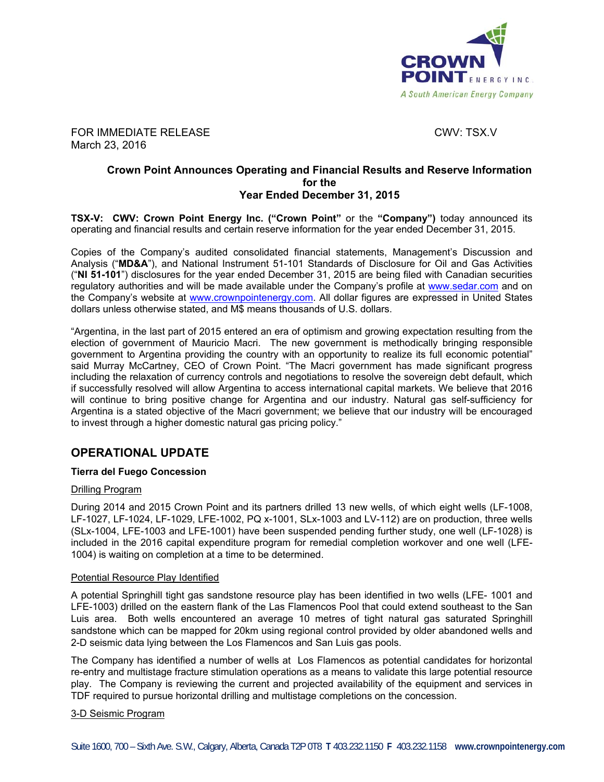

FOR IMMEDIATE RELEASE CWV: TSX.V March 23, 2016

### **Crown Point Announces Operating and Financial Results and Reserve Information for the Year Ended December 31, 2015**

**TSX-V: CWV: Crown Point Energy Inc. ("Crown Point"** or the **"Company")** today announced its operating and financial results and certain reserve information for the year ended December 31, 2015.

Copies of the Company's audited consolidated financial statements, Management's Discussion and Analysis ("**MD&A**"), and National Instrument 51-101 Standards of Disclosure for Oil and Gas Activities ("**NI 51-101**") disclosures for the year ended December 31, 2015 are being filed with Canadian securities regulatory authorities and will be made available under the Company's profile at www.sedar.com and on the Company's website at www.crownpointenergy.com. All dollar figures are expressed in United States dollars unless otherwise stated, and M\$ means thousands of U.S. dollars.

"Argentina, in the last part of 2015 entered an era of optimism and growing expectation resulting from the election of government of Mauricio Macri. The new government is methodically bringing responsible government to Argentina providing the country with an opportunity to realize its full economic potential" said Murray McCartney, CEO of Crown Point. "The Macri government has made significant progress including the relaxation of currency controls and negotiations to resolve the sovereign debt default, which if successfully resolved will allow Argentina to access international capital markets. We believe that 2016 will continue to bring positive change for Argentina and our industry. Natural gas self-sufficiency for Argentina is a stated objective of the Macri government; we believe that our industry will be encouraged to invest through a higher domestic natural gas pricing policy."

## **OPERATIONAL UPDATE**

### **Tierra del Fuego Concession**

#### Drilling Program

During 2014 and 2015 Crown Point and its partners drilled 13 new wells, of which eight wells (LF-1008, LF-1027, LF-1024, LF-1029, LFE-1002, PQ x-1001, SLx-1003 and LV-112) are on production, three wells (SLx-1004, LFE-1003 and LFE-1001) have been suspended pending further study, one well (LF-1028) is included in the 2016 capital expenditure program for remedial completion workover and one well (LFE-1004) is waiting on completion at a time to be determined.

#### Potential Resource Play Identified

A potential Springhill tight gas sandstone resource play has been identified in two wells (LFE- 1001 and LFE-1003) drilled on the eastern flank of the Las Flamencos Pool that could extend southeast to the San Luis area. Both wells encountered an average 10 metres of tight natural gas saturated Springhill sandstone which can be mapped for 20km using regional control provided by older abandoned wells and 2-D seismic data lying between the Los Flamencos and San Luis gas pools.

The Company has identified a number of wells at Los Flamencos as potential candidates for horizontal re-entry and multistage fracture stimulation operations as a means to validate this large potential resource play. The Company is reviewing the current and projected availability of the equipment and services in TDF required to pursue horizontal drilling and multistage completions on the concession.

#### 3-D Seismic Program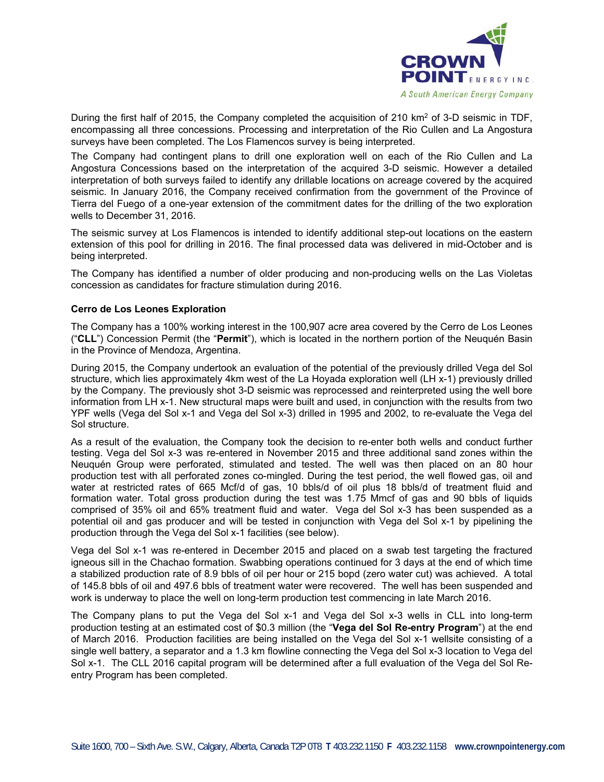

During the first half of 2015, the Company completed the acquisition of 210 km<sup>2</sup> of 3-D seismic in TDF, encompassing all three concessions. Processing and interpretation of the Rio Cullen and La Angostura surveys have been completed. The Los Flamencos survey is being interpreted.

The Company had contingent plans to drill one exploration well on each of the Rio Cullen and La Angostura Concessions based on the interpretation of the acquired 3-D seismic. However a detailed interpretation of both surveys failed to identify any drillable locations on acreage covered by the acquired seismic. In January 2016, the Company received confirmation from the government of the Province of Tierra del Fuego of a one-year extension of the commitment dates for the drilling of the two exploration wells to December 31, 2016.

The seismic survey at Los Flamencos is intended to identify additional step-out locations on the eastern extension of this pool for drilling in 2016. The final processed data was delivered in mid-October and is being interpreted.

The Company has identified a number of older producing and non-producing wells on the Las Violetas concession as candidates for fracture stimulation during 2016.

#### **Cerro de Los Leones Exploration**

The Company has a 100% working interest in the 100,907 acre area covered by the Cerro de Los Leones ("**CLL**") Concession Permit (the "**Permit**"), which is located in the northern portion of the Neuquén Basin in the Province of Mendoza, Argentina.

During 2015, the Company undertook an evaluation of the potential of the previously drilled Vega del Sol structure, which lies approximately 4km west of the La Hoyada exploration well (LH x-1) previously drilled by the Company. The previously shot 3-D seismic was reprocessed and reinterpreted using the well bore information from LH x-1. New structural maps were built and used, in conjunction with the results from two YPF wells (Vega del Sol x-1 and Vega del Sol x-3) drilled in 1995 and 2002, to re-evaluate the Vega del Sol structure.

As a result of the evaluation, the Company took the decision to re-enter both wells and conduct further testing. Vega del Sol x-3 was re-entered in November 2015 and three additional sand zones within the Neuquén Group were perforated, stimulated and tested. The well was then placed on an 80 hour production test with all perforated zones co-mingled. During the test period, the well flowed gas, oil and water at restricted rates of 665 Mcf/d of gas, 10 bbls/d of oil plus 18 bbls/d of treatment fluid and formation water. Total gross production during the test was 1.75 Mmcf of gas and 90 bbls of liquids comprised of 35% oil and 65% treatment fluid and water. Vega del Sol x-3 has been suspended as a potential oil and gas producer and will be tested in conjunction with Vega del Sol x-1 by pipelining the production through the Vega del Sol x-1 facilities (see below).

Vega del Sol x-1 was re-entered in December 2015 and placed on a swab test targeting the fractured igneous sill in the Chachao formation. Swabbing operations continued for 3 days at the end of which time a stabilized production rate of 8.9 bbls of oil per hour or 215 bopd (zero water cut) was achieved. A total of 145.8 bbls of oil and 497.6 bbls of treatment water were recovered. The well has been suspended and work is underway to place the well on long-term production test commencing in late March 2016.

The Company plans to put the Vega del Sol x-1 and Vega del Sol x-3 wells in CLL into long-term production testing at an estimated cost of \$0.3 million (the "**Vega del Sol Re-entry Program**") at the end of March 2016. Production facilities are being installed on the Vega del Sol x-1 wellsite consisting of a single well battery, a separator and a 1.3 km flowline connecting the Vega del Sol x-3 location to Vega del Sol x-1. The CLL 2016 capital program will be determined after a full evaluation of the Vega del Sol Reentry Program has been completed.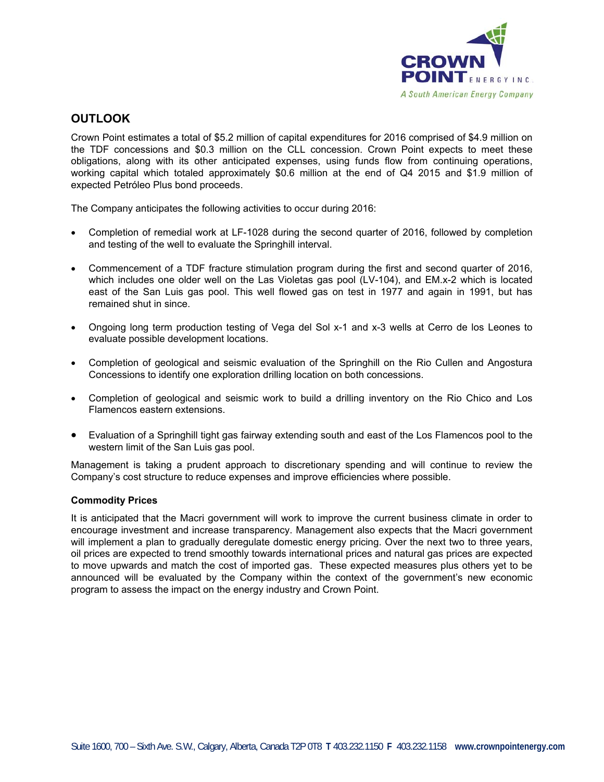

## **OUTLOOK**

Crown Point estimates a total of \$5.2 million of capital expenditures for 2016 comprised of \$4.9 million on the TDF concessions and \$0.3 million on the CLL concession. Crown Point expects to meet these obligations, along with its other anticipated expenses, using funds flow from continuing operations, working capital which totaled approximately \$0.6 million at the end of Q4 2015 and \$1.9 million of expected Petróleo Plus bond proceeds.

The Company anticipates the following activities to occur during 2016:

- Completion of remedial work at LF-1028 during the second quarter of 2016, followed by completion and testing of the well to evaluate the Springhill interval.
- Commencement of a TDF fracture stimulation program during the first and second quarter of 2016, which includes one older well on the Las Violetas gas pool (LV-104), and EM.x-2 which is located east of the San Luis gas pool. This well flowed gas on test in 1977 and again in 1991, but has remained shut in since.
- Ongoing long term production testing of Vega del Sol x-1 and x-3 wells at Cerro de los Leones to evaluate possible development locations.
- Completion of geological and seismic evaluation of the Springhill on the Rio Cullen and Angostura Concessions to identify one exploration drilling location on both concessions.
- Completion of geological and seismic work to build a drilling inventory on the Rio Chico and Los Flamencos eastern extensions.
- Evaluation of a Springhill tight gas fairway extending south and east of the Los Flamencos pool to the western limit of the San Luis gas pool.

Management is taking a prudent approach to discretionary spending and will continue to review the Company's cost structure to reduce expenses and improve efficiencies where possible.

#### **Commodity Prices**

It is anticipated that the Macri government will work to improve the current business climate in order to encourage investment and increase transparency. Management also expects that the Macri government will implement a plan to gradually deregulate domestic energy pricing. Over the next two to three years, oil prices are expected to trend smoothly towards international prices and natural gas prices are expected to move upwards and match the cost of imported gas. These expected measures plus others yet to be announced will be evaluated by the Company within the context of the government's new economic program to assess the impact on the energy industry and Crown Point.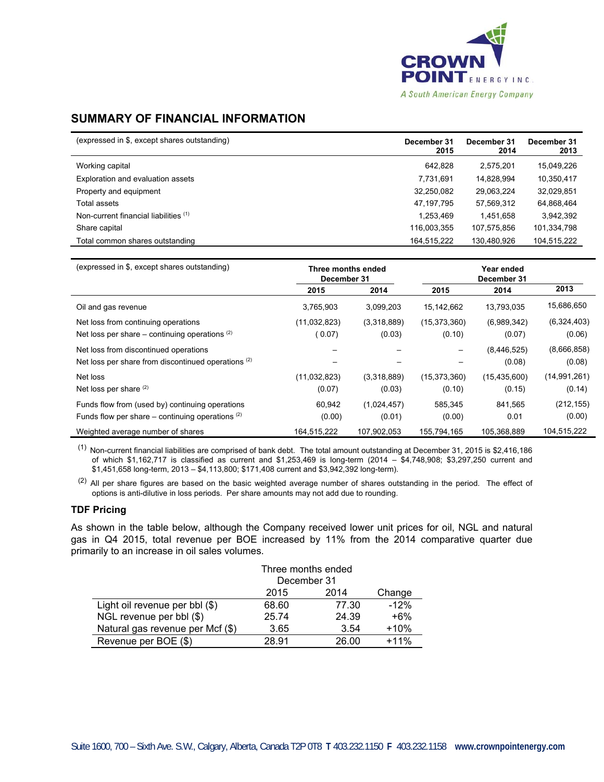

# **SUMMARY OF FINANCIAL INFORMATION**

| (expressed in \$, except shares outstanding) | December 31<br>2015 | December 31<br>2014 | December 31<br>2013 |
|----------------------------------------------|---------------------|---------------------|---------------------|
| Working capital                              | 642.828             | 2.575.201           | 15,049,226          |
| Exploration and evaluation assets            | 7.731.691           | 14.828.994          | 10,350,417          |
| Property and equipment                       | 32,250,082          | 29,063,224          | 32,029,851          |
| Total assets                                 | 47, 197, 795        | 57.569.312          | 64,868,464          |
| Non-current financial liabilities (1)        | 1,253,469           | 1.451.658           | 3,942,392           |
| Share capital                                | 116,003,355         | 107.575.856         | 101,334,798         |
| Total common shares outstanding              | 164,515,222         | 130,480,926         | 104,515,222         |

| (expressed in \$, except shares outstanding)         | Three months ended<br>December 31 |             | Year ended<br>December 31 |                |                |
|------------------------------------------------------|-----------------------------------|-------------|---------------------------|----------------|----------------|
|                                                      | 2015                              | 2014        | 2015                      | 2014           | 2013           |
| Oil and gas revenue                                  | 3,765,903                         | 3,099,203   | 15.142.662                | 13,793,035     | 15,686,650     |
| Net loss from continuing operations                  | (11, 032, 823)                    | (3,318,889) | (15, 373, 360)            | (6,989,342)    | (6,324,403)    |
| Net loss per share – continuing operations $(2)$     | (0.07)                            | (0.03)      | (0.10)                    | (0.07)         | (0.06)         |
| Net loss from discontinued operations                |                                   |             |                           | (8,446,525)    | (8,666,858)    |
| Net loss per share from discontinued operations (2)  |                                   |             |                           | (0.08)         | (0.08)         |
| Net loss                                             | (11,032,823)                      | (3,318,889) | (15, 373, 360)            | (15, 435, 600) | (14, 991, 261) |
| Net loss per share $(2)$                             | (0.07)                            | (0.03)      | (0.10)                    | (0.15)         | (0.14)         |
| Funds flow from (used by) continuing operations      | 60,942                            | (1,024,457) | 585,345                   | 841,565        | (212, 155)     |
| Funds flow per share $-$ continuing operations $(2)$ | (0.00)                            | (0.01)      | (0.00)                    | 0.01           | (0.00)         |
| Weighted average number of shares                    | 164.515.222                       | 107.902.053 | 155.794.165               | 105.368.889    | 104.515.222    |

(1) Non-current financial liabilities are comprised of bank debt. The total amount outstanding at December 31, 2015 is \$2,416,186 of which \$1,162,717 is classified as current and \$1,253,469 is long-term (2014 – \$4,748,908; \$3,297,250 current and \$1,451,658 long-term, 2013 – \$4,113,800; \$171,408 current and \$3,942,392 long-term).

<sup>(2)</sup> All per share figures are based on the basic weighted average number of shares outstanding in the period. The effect of options is anti-dilutive in loss periods. Per share amounts may not add due to rounding.

#### **TDF Pricing**

As shown in the table below, although the Company received lower unit prices for oil, NGL and natural gas in Q4 2015, total revenue per BOE increased by 11% from the 2014 comparative quarter due primarily to an increase in oil sales volumes.

|                                  | Three months ended     |       |        |  |  |
|----------------------------------|------------------------|-------|--------|--|--|
|                                  | December 31            |       |        |  |  |
|                                  | 2014<br>2015<br>Change |       |        |  |  |
| Light oil revenue per bbl (\$)   | 68.60                  | 77.30 | $-12%$ |  |  |
| NGL revenue per bbl (\$)         | 25.74                  | 24.39 | $+6%$  |  |  |
| Natural gas revenue per Mcf (\$) | 3.65                   | 3.54  | $+10%$ |  |  |
| Revenue per BOE (\$)             | 28.91                  | 26.00 | $+11%$ |  |  |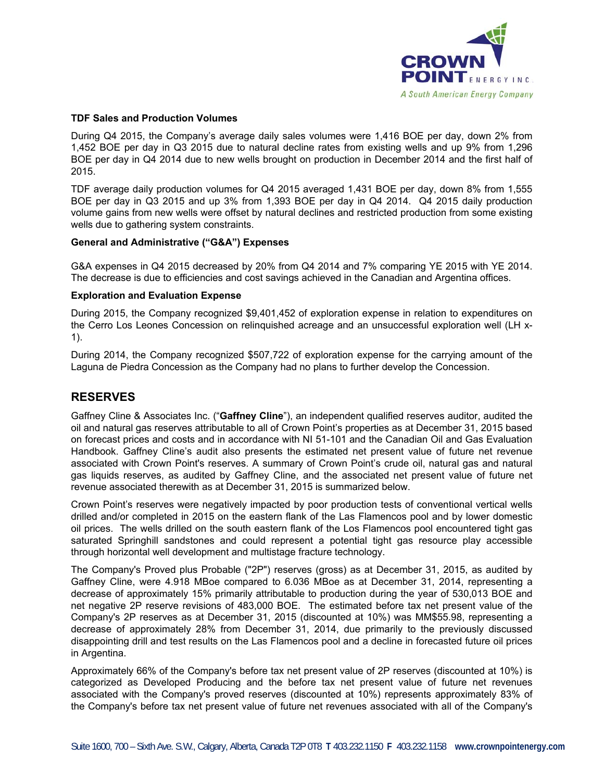

#### **TDF Sales and Production Volumes**

During Q4 2015, the Company's average daily sales volumes were 1,416 BOE per day, down 2% from 1,452 BOE per day in Q3 2015 due to natural decline rates from existing wells and up 9% from 1,296 BOE per day in Q4 2014 due to new wells brought on production in December 2014 and the first half of 2015.

TDF average daily production volumes for Q4 2015 averaged 1,431 BOE per day, down 8% from 1,555 BOE per day in Q3 2015 and up 3% from 1,393 BOE per day in Q4 2014. Q4 2015 daily production volume gains from new wells were offset by natural declines and restricted production from some existing wells due to gathering system constraints.

### **General and Administrative ("G&A") Expenses**

G&A expenses in Q4 2015 decreased by 20% from Q4 2014 and 7% comparing YE 2015 with YE 2014. The decrease is due to efficiencies and cost savings achieved in the Canadian and Argentina offices.

### **Exploration and Evaluation Expense**

During 2015, the Company recognized \$9,401,452 of exploration expense in relation to expenditures on the Cerro Los Leones Concession on relinquished acreage and an unsuccessful exploration well (LH x-1).

During 2014, the Company recognized \$507,722 of exploration expense for the carrying amount of the Laguna de Piedra Concession as the Company had no plans to further develop the Concession.

## **RESERVES**

Gaffney Cline & Associates Inc. ("**Gaffney Cline**"), an independent qualified reserves auditor, audited the oil and natural gas reserves attributable to all of Crown Point's properties as at December 31, 2015 based on forecast prices and costs and in accordance with NI 51-101 and the Canadian Oil and Gas Evaluation Handbook. Gaffney Cline's audit also presents the estimated net present value of future net revenue associated with Crown Point's reserves. A summary of Crown Point's crude oil, natural gas and natural gas liquids reserves, as audited by Gaffney Cline, and the associated net present value of future net revenue associated therewith as at December 31, 2015 is summarized below.

Crown Point's reserves were negatively impacted by poor production tests of conventional vertical wells drilled and/or completed in 2015 on the eastern flank of the Las Flamencos pool and by lower domestic oil prices. The wells drilled on the south eastern flank of the Los Flamencos pool encountered tight gas saturated Springhill sandstones and could represent a potential tight gas resource play accessible through horizontal well development and multistage fracture technology.

The Company's Proved plus Probable ("2P") reserves (gross) as at December 31, 2015, as audited by Gaffney Cline, were 4.918 MBoe compared to 6.036 MBoe as at December 31, 2014, representing a decrease of approximately 15% primarily attributable to production during the year of 530,013 BOE and net negative 2P reserve revisions of 483,000 BOE. The estimated before tax net present value of the Company's 2P reserves as at December 31, 2015 (discounted at 10%) was MM\$55.98, representing a decrease of approximately 28% from December 31, 2014, due primarily to the previously discussed disappointing drill and test results on the Las Flamencos pool and a decline in forecasted future oil prices in Argentina.

Approximately 66% of the Company's before tax net present value of 2P reserves (discounted at 10%) is categorized as Developed Producing and the before tax net present value of future net revenues associated with the Company's proved reserves (discounted at 10%) represents approximately 83% of the Company's before tax net present value of future net revenues associated with all of the Company's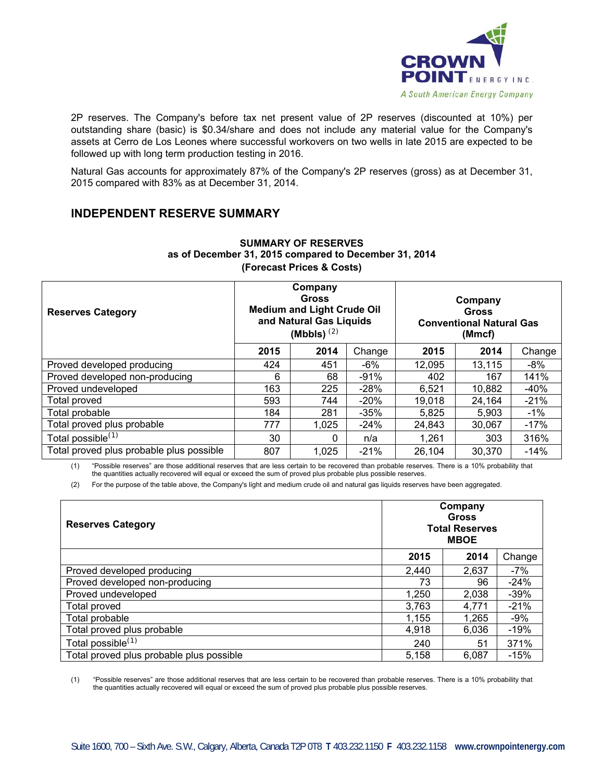

2P reserves. The Company's before tax net present value of 2P reserves (discounted at 10%) per outstanding share (basic) is \$0.34/share and does not include any material value for the Company's assets at Cerro de Los Leones where successful workovers on two wells in late 2015 are expected to be followed up with long term production testing in 2016.

Natural Gas accounts for approximately 87% of the Company's 2P reserves (gross) as at December 31, 2015 compared with 83% as at December 31, 2014.

# **INDEPENDENT RESERVE SUMMARY**

| <b>Reserves Category</b>                 | Company<br><b>Gross</b><br><b>Medium and Light Crude Oil</b><br>and Natural Gas Liquids<br>(Mbbls) $(2)$ |       |        | Company<br><b>Gross</b><br><b>Conventional Natural Gas</b><br>(Mmcf) |        |        |
|------------------------------------------|----------------------------------------------------------------------------------------------------------|-------|--------|----------------------------------------------------------------------|--------|--------|
|                                          | 2015                                                                                                     | 2014  | Change | 2015                                                                 | 2014   | Change |
| Proved developed producing               | 424                                                                                                      | 451   | $-6%$  | 12,095                                                               | 13,115 | $-8%$  |
| Proved developed non-producing           | 6                                                                                                        | 68    | $-91%$ | 402                                                                  | 167    | 141%   |
| Proved undeveloped                       | 163                                                                                                      | 225   | $-28%$ | 6,521                                                                | 10,882 | -40%   |
| Total proved                             | 593                                                                                                      | 744   | $-20%$ | 19,018                                                               | 24,164 | $-21%$ |
| Total probable                           | 184                                                                                                      | 281   | $-35%$ | 5,825                                                                | 5,903  | $-1\%$ |
| Total proved plus probable               | 777                                                                                                      | 1,025 | $-24%$ | 24,843                                                               | 30,067 | $-17%$ |
| Total possible <sup>(1)</sup>            | 30                                                                                                       | 0     | n/a    | 1,261                                                                | 303    | 316%   |
| Total proved plus probable plus possible | 807                                                                                                      | 1,025 | $-21%$ | 26,104                                                               | 30,370 | $-14%$ |

### **SUMMARY OF RESERVES as of December 31, 2015 compared to December 31, 2014 (Forecast Prices & Costs)**

(1) "Possible reserves" are those additional reserves that are less certain to be recovered than probable reserves. There is a 10% probability that the quantities actually recovered will equal or exceed the sum of proved plus probable plus possible reserves.

(2) For the purpose of the table above, the Company's light and medium crude oil and natural gas liquids reserves have been aggregated.

| <b>Reserves Category</b>                 | Company<br>Gross<br><b>Total Reserves</b><br><b>MBOE</b> |       |         |
|------------------------------------------|----------------------------------------------------------|-------|---------|
|                                          | 2015                                                     | 2014  | Change  |
| Proved developed producing               | 2,440                                                    | 2,637 | $-7%$   |
| Proved developed non-producing           | 73                                                       | 96    | $-24%$  |
| Proved undeveloped                       | 1,250                                                    | 2,038 | $-39\%$ |
| Total proved                             | 3,763                                                    | 4,771 | $-21%$  |
| Total probable                           | 1,155                                                    | 1,265 | $-9%$   |
| Total proved plus probable               | 4,918                                                    | 6,036 | $-19%$  |
| Total possible <sup>(1)</sup>            | 240                                                      | 51    | 371%    |
| Total proved plus probable plus possible | 5,158                                                    | 6,087 | $-15%$  |

(1) "Possible reserves" are those additional reserves that are less certain to be recovered than probable reserves. There is a 10% probability that the quantities actually recovered will equal or exceed the sum of proved plus probable plus possible reserves.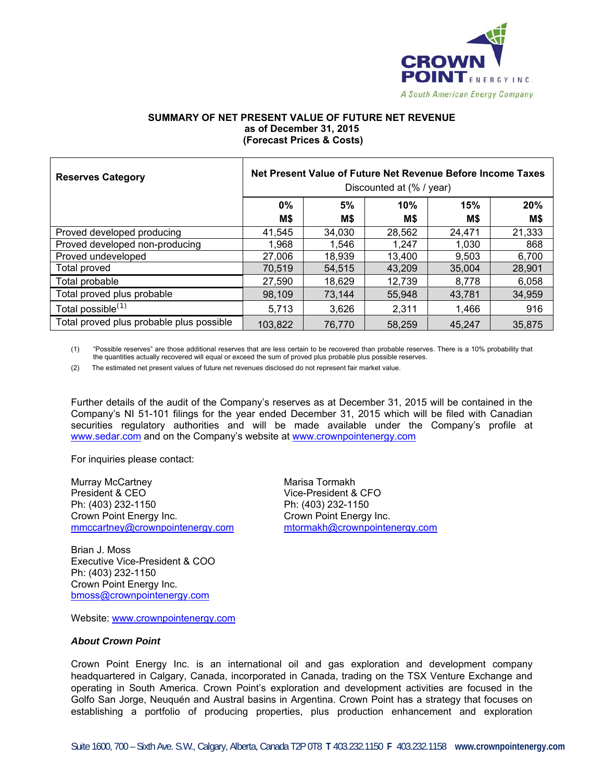

#### **SUMMARY OF NET PRESENT VALUE OF FUTURE NET REVENUE as of December 31, 2015 (Forecast Prices & Costs)**

| <b>Reserves Category</b>                 | Net Present Value of Future Net Revenue Before Income Taxes<br>Discounted at (% / year) |        |        |        |        |
|------------------------------------------|-----------------------------------------------------------------------------------------|--------|--------|--------|--------|
|                                          | $0\%$                                                                                   | 5%     | 10%    | 15%    | 20%    |
|                                          | M\$                                                                                     | M\$    | M\$    | M\$    | M\$    |
| Proved developed producing               | 41,545                                                                                  | 34,030 | 28,562 | 24,471 | 21,333 |
| Proved developed non-producing           | 1,968                                                                                   | 1,546  | 1.247  | 1,030  | 868    |
| Proved undeveloped                       | 27,006                                                                                  | 18,939 | 13,400 | 9,503  | 6,700  |
| Total proved                             | 70,519                                                                                  | 54.515 | 43.209 | 35,004 | 28,901 |
| Total probable                           | 27,590                                                                                  | 18,629 | 12,739 | 8,778  | 6,058  |
| Total proved plus probable               | 98,109                                                                                  | 73,144 | 55,948 | 43.781 | 34,959 |
| Total possible <sup>(1)</sup>            | 5,713                                                                                   | 3,626  | 2,311  | 1,466  | 916    |
| Total proved plus probable plus possible | 103,822                                                                                 | 76.770 | 58,259 | 45,247 | 35,875 |

(1) "Possible reserves" are those additional reserves that are less certain to be recovered than probable reserves. There is a 10% probability that the quantities actually recovered will equal or exceed the sum of proved plus probable plus possible reserves.

(2) The estimated net present values of future net revenues disclosed do not represent fair market value.

Further details of the audit of the Company's reserves as at December 31, 2015 will be contained in the Company's NI 51-101 filings for the year ended December 31, 2015 which will be filed with Canadian securities regulatory authorities and will be made available under the Company's profile at www.sedar.com and on the Company's website at www.crownpointenergy.com

For inquiries please contact:

Murray McCartney **Murray Marisa Tormakh** President & CEO Vice-President & CFO Ph: (403) 232-1150 Ph: (403) 232-1150 Crown Point Energy Inc. Crown Point Energy Inc.

mmccartney@crownpointenergy.com mtormakh@crownpointenergy.com

Brian J. Moss Executive Vice-President & COO Ph: (403) 232-1150 Crown Point Energy Inc. bmoss@crownpointenergy.com

Website: www.crownpointenergy.com

#### *About Crown Point*

Crown Point Energy Inc. is an international oil and gas exploration and development company headquartered in Calgary, Canada, incorporated in Canada, trading on the TSX Venture Exchange and operating in South America. Crown Point's exploration and development activities are focused in the Golfo San Jorge, Neuquén and Austral basins in Argentina. Crown Point has a strategy that focuses on establishing a portfolio of producing properties, plus production enhancement and exploration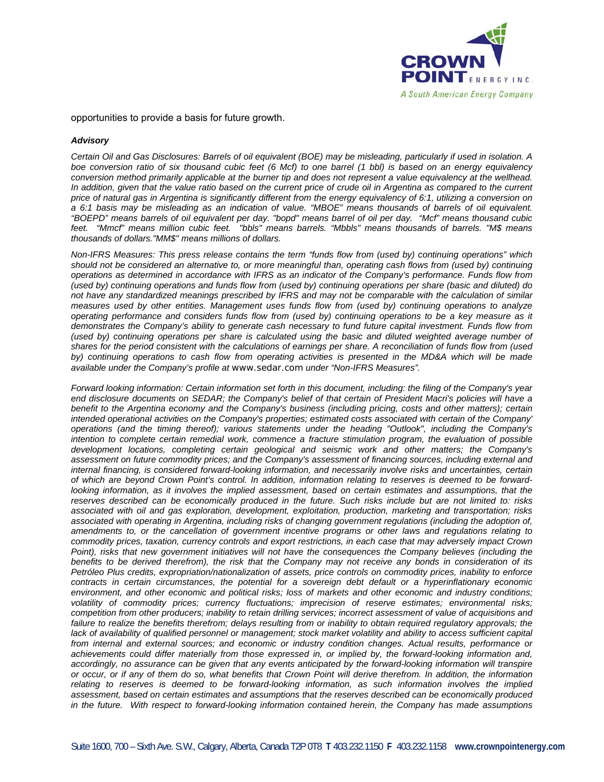

opportunities to provide a basis for future growth.

#### *Advisory*

*Certain Oil and Gas Disclosures: Barrels of oil equivalent (BOE) may be misleading, particularly if used in isolation. A boe conversion ratio of six thousand cubic feet (6 Mcf) to one barrel (1 bbl) is based on an energy equivalency conversion method primarily applicable at the burner tip and does not represent a value equivalency at the wellhead. In addition, given that the value ratio based on the current price of crude oil in Argentina as compared to the current price of natural gas in Argentina is significantly different from the energy equivalency of 6:1, utilizing a conversion on a 6:1 basis may be misleading as an indication of value. "MBOE" means thousands of barrels of oil equivalent. "BOEPD" means barrels of oil equivalent per day. "bopd" means barrel of oil per day. "Mcf" means thousand cubic feet. "Mmcf" means million cubic feet. "bbls" means barrels. "Mbbls" means thousands of barrels. "M\$ means thousands of dollars."MM\$" means millions of dollars.* 

*Non-IFRS Measures: This press release contains the term "funds flow from (used by) continuing operations" which should not be considered an alternative to, or more meaningful than, operating cash flows from (used by) continuing operations as determined in accordance with IFRS as an indicator of the Company's performance. Funds flow from (used by) continuing operations and funds flow from (used by) continuing operations per share (basic and diluted) do not have any standardized meanings prescribed by IFRS and may not be comparable with the calculation of similar measures used by other entities. Management uses funds flow from (used by) continuing operations to analyze operating performance and considers funds flow from (used by) continuing operations to be a key measure as it demonstrates the Company's ability to generate cash necessary to fund future capital investment. Funds flow from (used by)* continuing operations per share is calculated using the basic and diluted weighted average number of *shares for the period consistent with the calculations of earnings per share. A reconciliation of funds flow from (used by) continuing operations to cash flow from operating activities is presented in the MD&A which will be made available under the Company's profile at www.sedar.com under "Non-IFRS Measures".* 

*Forward looking information: Certain information set forth in this document, including: the filing of the Company's year end disclosure documents on SEDAR; the Company's belief of that certain of President Macri's policies will have a benefit to the Argentina economy and the Company's business (including pricing, costs and other matters); certain intended operational activities on the Company's properties; estimated costs associated with certain of the Company' operations (and the timing thereof); various statements under the heading "Outlook", including the Company's intention to complete certain remedial work, commence a fracture stimulation program, the evaluation of possible development locations, completing certain geological and seismic work and other matters; the Company's assessment on future commodity prices; and the Company's assessment of financing sources, including external and internal financing, is considered forward-looking information, and necessarily involve risks and uncertainties, certain of which are beyond Crown Point's control. In addition, information relating to reserves is deemed to be forwardlooking information, as it involves the implied assessment, based on certain estimates and assumptions, that the reserves described can be economically produced in the future. Such risks include but are not limited to: risks associated with oil and gas exploration, development, exploitation, production, marketing and transportation; risks associated with operating in Argentina, including risks of changing government regulations (including the adoption of, amendments to, or the cancellation of government incentive programs or other laws and regulations relating to commodity prices, taxation, currency controls and export restrictions, in each case that may adversely impact Crown Point), risks that new government initiatives will not have the consequences the Company believes (including the benefits to be derived therefrom), the risk that the Company may not receive any bonds in consideration of its Petróleo Plus credits, expropriation/nationalization of assets, price controls on commodity prices, inability to enforce contracts in certain circumstances, the potential for a sovereign debt default or a hyperinflationary economic environment, and other economic and political risks; loss of markets and other economic and industry conditions; volatility of commodity prices; currency fluctuations; imprecision of reserve estimates; environmental risks; competition from other producers; inability to retain drilling services; incorrect assessment of value of acquisitions and*  failure to realize the benefits therefrom; delays resulting from or inability to obtain required regulatory approvals; the lack of availability of qualified personnel or management; stock market volatility and ability to access sufficient capital *from internal and external sources; and economic or industry condition changes. Actual results, performance or achievements could differ materially from those expressed in, or implied by, the forward-looking information and, accordingly, no assurance can be given that any events anticipated by the forward-looking information will transpire or occur, or if any of them do so, what benefits that Crown Point will derive therefrom. In addition, the information relating to reserves is deemed to be forward-looking information, as such information involves the implied assessment, based on certain estimates and assumptions that the reserves described can be economically produced in the future. With respect to forward-looking information contained herein, the Company has made assumptions*